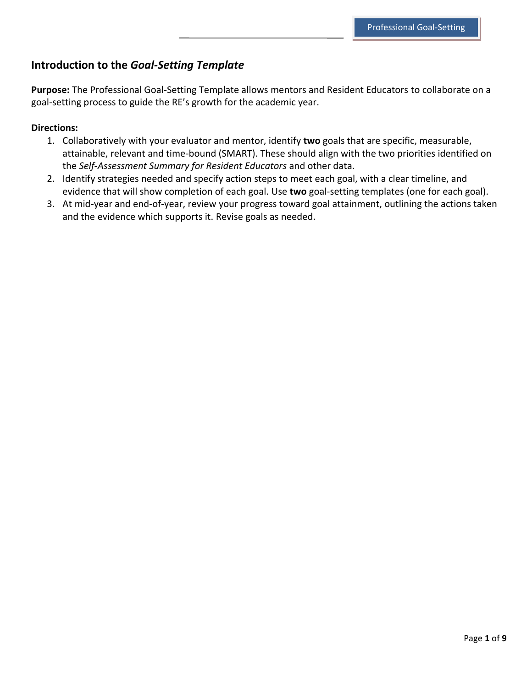## **Introduction to the** *Goal-Setting Template*

**Purpose:** The Professional Goal-Setting Template allows mentors and Resident Educators to collaborate on a goal-setting process to guide the RE's growth for the academic year.

## **Directions:**

- 1. Collaboratively with your evaluator and mentor, identify **two** goals that are specific, measurable, attainable, relevant and time-bound (SMART). These should align with the two priorities identified on the *Self-Assessment Summary for Resident Educators* and other data.
- 2. Identify strategies needed and specify action steps to meet each goal, with a clear timeline, and evidence that will show completion of each goal. Use **two** goal-setting templates (one for each goal).
- 3. At mid-year and end-of-year, review your progress toward goal attainment, outlining the actions taken and the evidence which supports it. Revise goals as needed.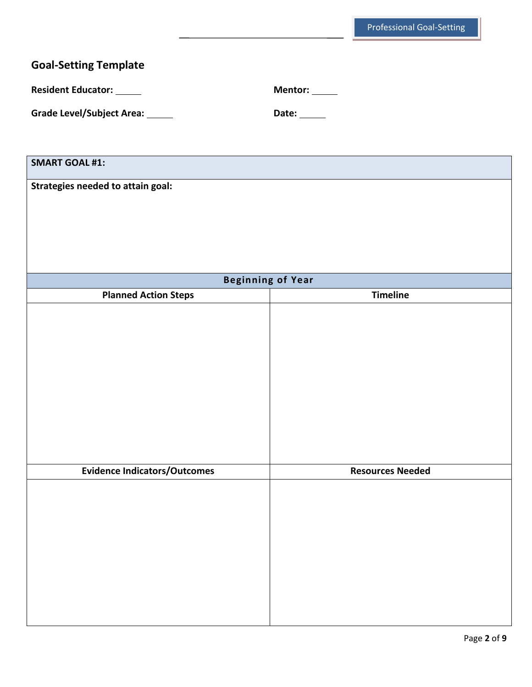|                                     |                          |               | <b>Professional Goal-Setting</b> |
|-------------------------------------|--------------------------|---------------|----------------------------------|
| <b>Goal-Setting Template</b>        |                          |               |                                  |
| <b>Resident Educator:</b> ______    |                          | Mentor: _____ |                                  |
| Grade Level/Subject Area: _____     |                          | Date: _____   |                                  |
|                                     |                          |               |                                  |
| <b>SMART GOAL #1:</b>               |                          |               |                                  |
|                                     |                          |               |                                  |
| Strategies needed to attain goal:   |                          |               |                                  |
|                                     |                          |               |                                  |
|                                     |                          |               |                                  |
|                                     |                          |               |                                  |
|                                     |                          |               |                                  |
|                                     | <b>Beginning of Year</b> |               |                                  |
| <b>Planned Action Steps</b>         |                          |               | <b>Timeline</b>                  |
|                                     |                          |               |                                  |
|                                     |                          |               |                                  |
|                                     |                          |               |                                  |
|                                     |                          |               |                                  |
|                                     |                          |               |                                  |
|                                     |                          |               |                                  |
|                                     |                          |               |                                  |
|                                     |                          |               |                                  |
| <b>Evidence Indicators/Outcomes</b> |                          |               | <b>Resources Needed</b>          |
|                                     |                          |               |                                  |
|                                     |                          |               |                                  |
|                                     |                          |               |                                  |
|                                     |                          |               |                                  |
|                                     |                          |               |                                  |
|                                     |                          |               |                                  |
|                                     |                          |               |                                  |
|                                     |                          |               |                                  |

п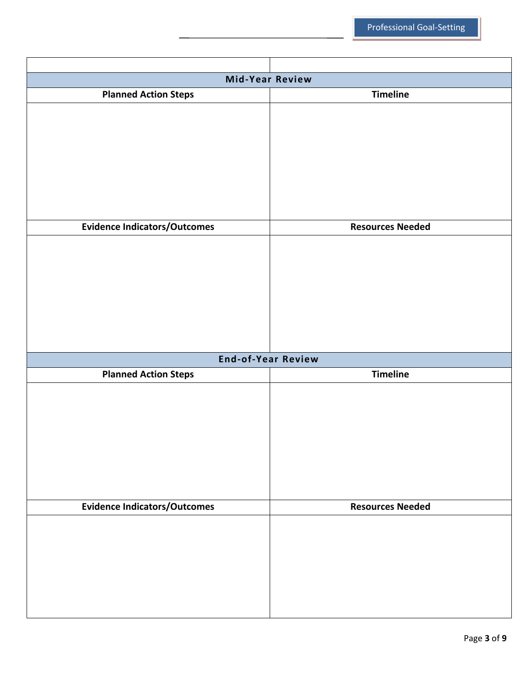|                                     | Mid-Year Review         |
|-------------------------------------|-------------------------|
| <b>Planned Action Steps</b>         | <b>Timeline</b>         |
|                                     |                         |
|                                     |                         |
|                                     |                         |
|                                     |                         |
|                                     |                         |
|                                     |                         |
|                                     |                         |
|                                     |                         |
| <b>Evidence Indicators/Outcomes</b> | <b>Resources Needed</b> |
|                                     |                         |
|                                     |                         |
|                                     |                         |
|                                     |                         |
|                                     |                         |
|                                     |                         |
|                                     |                         |
|                                     |                         |
| <b>End-of-Year Review</b>           |                         |
| <b>Planned Action Steps</b>         | <b>Timeline</b>         |
|                                     |                         |
|                                     |                         |
|                                     |                         |
|                                     |                         |
|                                     |                         |
|                                     |                         |
|                                     |                         |
|                                     |                         |
|                                     |                         |
|                                     |                         |
|                                     |                         |
|                                     |                         |
|                                     |                         |
|                                     |                         |
|                                     |                         |
|                                     |                         |
| <b>Evidence Indicators/Outcomes</b> | <b>Resources Needed</b> |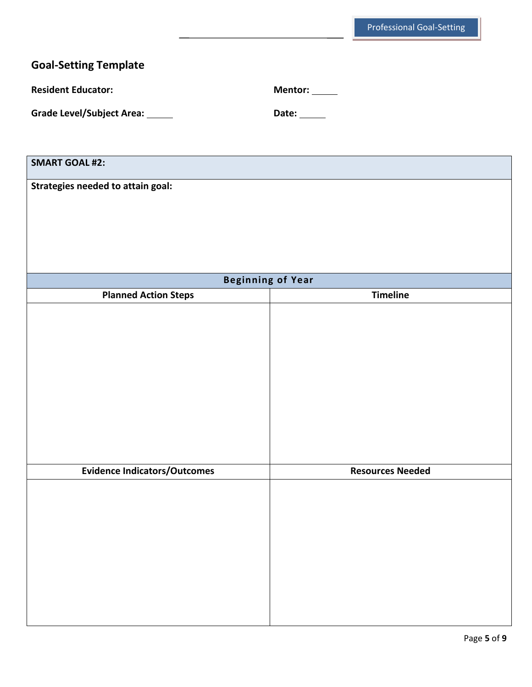| <b>Goal-Setting Template</b>        |                         |
|-------------------------------------|-------------------------|
| <b>Resident Educator:</b>           | Mentor: _____           |
| Grade Level/Subject Area: _____     | Date: $\_\_$            |
|                                     |                         |
| <b>SMART GOAL #2:</b>               |                         |
| Strategies needed to attain goal:   |                         |
|                                     |                         |
|                                     |                         |
|                                     |                         |
| <b>Beginning of Year</b>            |                         |
| <b>Planned Action Steps</b>         | <b>Timeline</b>         |
|                                     |                         |
|                                     |                         |
|                                     |                         |
|                                     |                         |
|                                     |                         |
|                                     |                         |
|                                     |                         |
|                                     |                         |
|                                     |                         |
| <b>Evidence Indicators/Outcomes</b> | <b>Resources Needed</b> |
|                                     |                         |
|                                     |                         |
|                                     |                         |
|                                     |                         |
|                                     |                         |
|                                     |                         |
|                                     |                         |
|                                     |                         |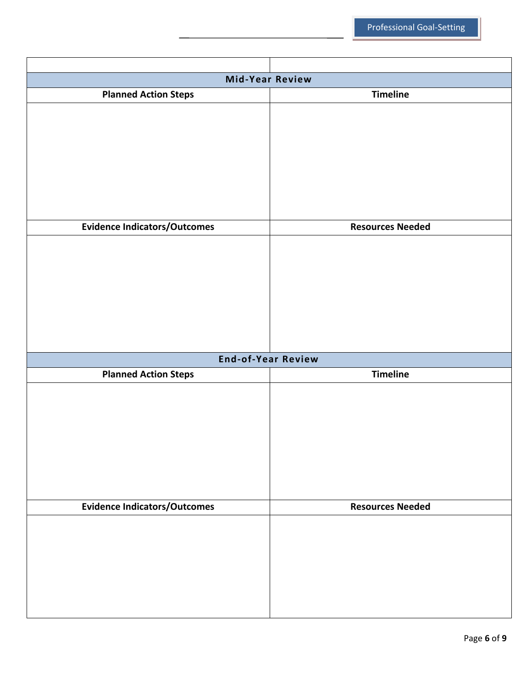| Mid-Year Review                     |                         |
|-------------------------------------|-------------------------|
| <b>Planned Action Steps</b>         | <b>Timeline</b>         |
|                                     |                         |
|                                     |                         |
|                                     |                         |
|                                     |                         |
|                                     |                         |
|                                     |                         |
|                                     |                         |
|                                     |                         |
| <b>Evidence Indicators/Outcomes</b> | <b>Resources Needed</b> |
|                                     |                         |
|                                     |                         |
|                                     |                         |
|                                     |                         |
|                                     |                         |
|                                     |                         |
|                                     |                         |
|                                     |                         |
| <b>End-of-Year Review</b>           |                         |
| <b>Planned Action Steps</b>         | <b>Timeline</b>         |
|                                     |                         |
|                                     |                         |
|                                     |                         |
|                                     |                         |
|                                     |                         |
|                                     |                         |
|                                     |                         |
|                                     |                         |
|                                     |                         |
|                                     |                         |
| <b>Evidence Indicators/Outcomes</b> | <b>Resources Needed</b> |
|                                     |                         |
|                                     |                         |
|                                     |                         |
|                                     |                         |
|                                     |                         |
|                                     |                         |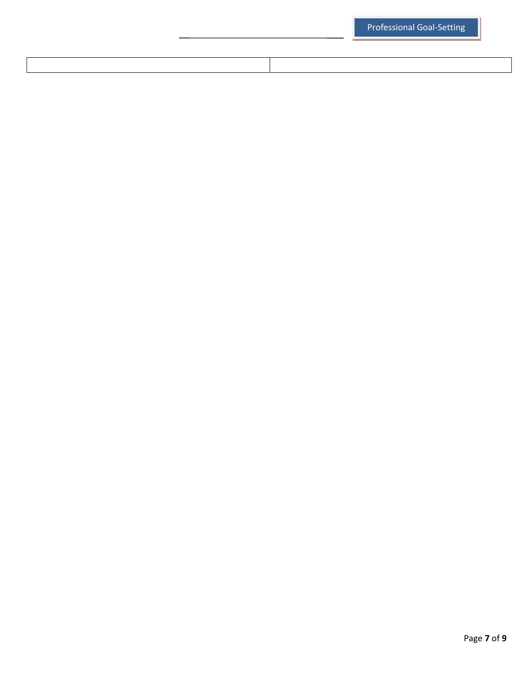| ,我们也不能在这里,我们也不能在这里,我们也不能在这里,我们也不能不能不能不能不能不能不能不能不能不能不能。""我们,我们也不能不能不能不能不能不能不能不能不能 |  |
|----------------------------------------------------------------------------------|--|
|                                                                                  |  |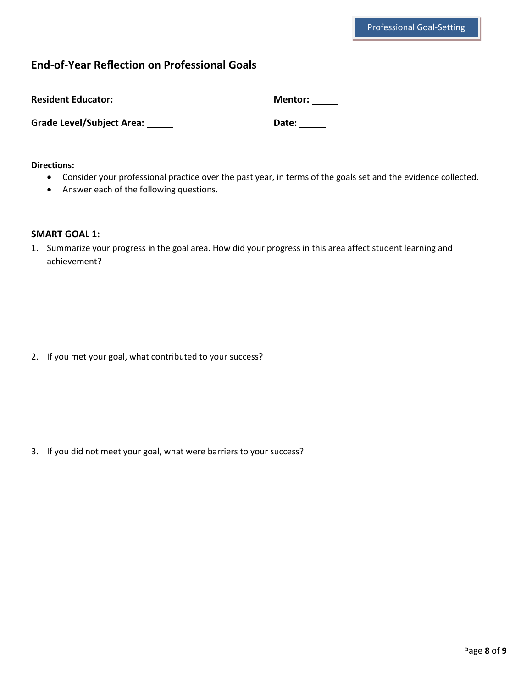## **End-of-Year Reflection on Professional Goals**

| <b>Resident Educator:</b>        | Mentor: |
|----------------------------------|---------|
| <b>Grade Level/Subject Area:</b> | Date:   |

#### **Directions:**

- Consider your professional practice over the past year, in terms of the goals set and the evidence collected.
- Answer each of the following questions.

## **SMART GOAL 1:**

1. Summarize your progress in the goal area. How did your progress in this area affect student learning and achievement?

2. If you met your goal, what contributed to your success?

3. If you did not meet your goal, what were barriers to your success?